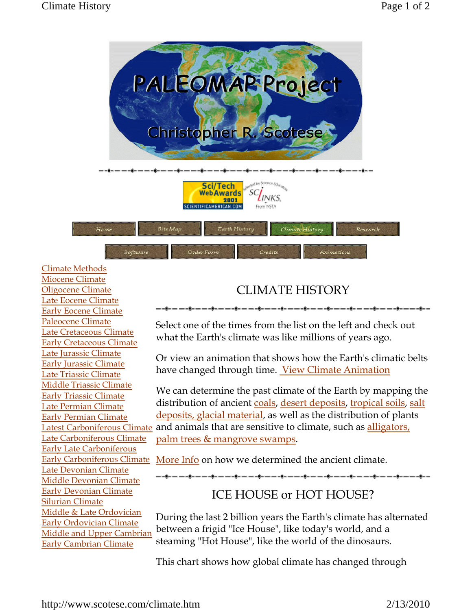

## Climate Methods Miocene Climate Oligocene Climate Late Eocene Climate Early Eocene Climate Paleocene Climate Late Cretaceous Climate Early Cretaceous Climate Late Jurassic Climate Early Jurassic Climate Late Triassic Climate Middle Triassic Climate Early Triassic Climate Late Permian Climate Early Permian Climate Late Carboniferous Climate Early Late Carboniferous Early Carboniferous Climate Late Devonian Climate Middle Devonian Climate Early Devonian Climate Silurian Climate Middle & Late Ordovician Early Ordovician Climate Middle and Upper Cambrian Early Cambrian Climate

## CLIMATE HISTORY

-----------------------------

Select one of the times from the list on the left and check out what the Earth's climate was like millions of years ago.

Or view an animation that shows how the Earth's climatic belts have changed through time. View Climate Animation

Latest Carboniferous Climate and animals that are sensitive to climate, such as alligators, We can determine the past climate of the Earth by mapping the distribution of ancient coals, desert deposits, tropical soils, salt deposits, glacial material, as well as the distribution of plants palm trees & mangrove swamps.

More Info on how we determined the ancient climate.

## ICE HOUSE or HOT HOUSE?

During the last 2 billion years the Earth's climate has alternated between a frigid "Ice House", like today's world, and a steaming "Hot House", like the world of the dinosaurs.

This chart shows how global climate has changed through